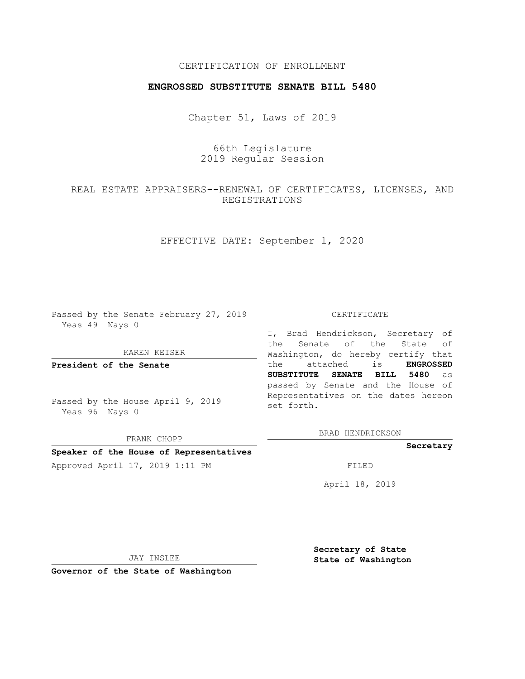## CERTIFICATION OF ENROLLMENT

## **ENGROSSED SUBSTITUTE SENATE BILL 5480**

Chapter 51, Laws of 2019

# 66th Legislature 2019 Regular Session

## REAL ESTATE APPRAISERS--RENEWAL OF CERTIFICATES, LICENSES, AND REGISTRATIONS

EFFECTIVE DATE: September 1, 2020

Passed by the Senate February 27, 2019 Yeas 49 Nays 0

KAREN KEISER

**President of the Senate**

Passed by the House April 9, 2019 Yeas 96 Nays 0

FRANK CHOPP

#### **Speaker of the House of Representatives**

Approved April 17, 2019 1:11 PM FILED

#### CERTIFICATE

I, Brad Hendrickson, Secretary of the Senate of the State of Washington, do hereby certify that the attached is **ENGROSSED SUBSTITUTE SENATE BILL 5480** as passed by Senate and the House of Representatives on the dates hereon set forth.

BRAD HENDRICKSON

#### **Secretary**

April 18, 2019

JAY INSLEE

**Governor of the State of Washington**

**Secretary of State State of Washington**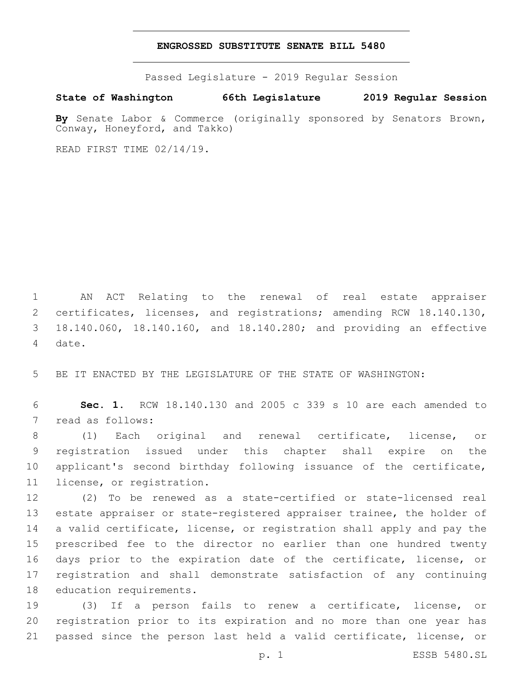### **ENGROSSED SUBSTITUTE SENATE BILL 5480**

Passed Legislature - 2019 Regular Session

**State of Washington 66th Legislature 2019 Regular Session**

**By** Senate Labor & Commerce (originally sponsored by Senators Brown, Conway, Honeyford, and Takko)

READ FIRST TIME 02/14/19.

1 AN ACT Relating to the renewal of real estate appraiser 2 certificates, licenses, and registrations; amending RCW 18.140.130, 3 18.140.060, 18.140.160, and 18.140.280; and providing an effective 4 date.

5 BE IT ENACTED BY THE LEGISLATURE OF THE STATE OF WASHINGTON:

6 **Sec. 1.** RCW 18.140.130 and 2005 c 339 s 10 are each amended to 7 read as follows:

 (1) Each original and renewal certificate, license, or registration issued under this chapter shall expire on the applicant's second birthday following issuance of the certificate, 11 license, or registration.

 (2) To be renewed as a state-certified or state-licensed real estate appraiser or state-registered appraiser trainee, the holder of a valid certificate, license, or registration shall apply and pay the prescribed fee to the director no earlier than one hundred twenty days prior to the expiration date of the certificate, license, or registration and shall demonstrate satisfaction of any continuing 18 education requirements.

19 (3) If a person fails to renew a certificate, license, or 20 registration prior to its expiration and no more than one year has 21 passed since the person last held a valid certificate, license, or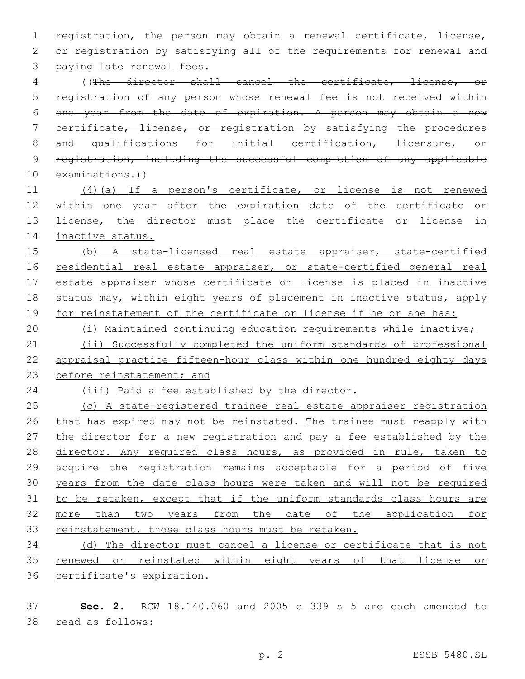registration, the person may obtain a renewal certificate, license, or registration by satisfying all of the requirements for renewal and 3 paying late renewal fees.

 ((The director shall cancel the certificate, license, or registration of any person whose renewal fee is not received within one year from the date of expiration. A person may obtain a new certificate, license, or registration by satisfying the procedures and qualifications for initial certification, licensure, or registration, including the successful completion of any applicable examinations.))

 (4)(a) If a person's certificate, or license is not renewed within one year after the expiration date of the certificate or 13 license, the director must place the certificate or license in inactive status.

 (b) A state-licensed real estate appraiser, state-certified 16 residential real estate appraiser, or state-certified general real estate appraiser whose certificate or license is placed in inactive status may, within eight years of placement in inactive status, apply 19 for reinstatement of the certificate or license if he or she has:

(i) Maintained continuing education requirements while inactive;

 (ii) Successfully completed the uniform standards of professional appraisal practice fifteen-hour class within one hundred eighty days before reinstatement; and

(iii) Paid a fee established by the director.

 (c) A state-registered trainee real estate appraiser registration 26 that has expired may not be reinstated. The trainee must reapply with the director for a new registration and pay a fee established by the 28 director. Any required class hours, as provided in rule, taken to acquire the registration remains acceptable for a period of five years from the date class hours were taken and will not be required to be retaken, except that if the uniform standards class hours are more than two years from the date of the application for 33 reinstatement, those class hours must be retaken.

 (d) The director must cancel a license or certificate that is not renewed or reinstated within eight years of that license or certificate's expiration.

 **Sec. 2.** RCW 18.140.060 and 2005 c 339 s 5 are each amended to read as follows:38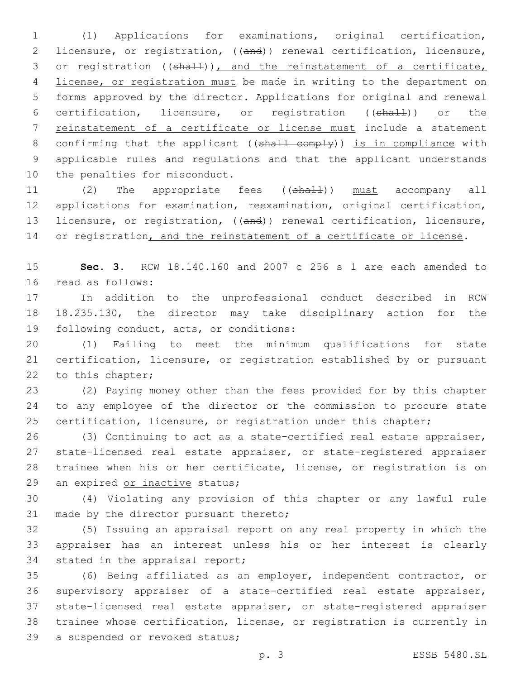(1) Applications for examinations, original certification, licensure, or registration, ((and)) renewal certification, licensure, 3 or registration ((shall)), and the reinstatement of a certificate, license, or registration must be made in writing to the department on forms approved by the director. Applications for original and renewal 6 certification, licensure, or registration ((shall)) or the reinstatement of a certificate or license must include a statement 8 confirming that the applicant ((shall comply)) is in compliance with applicable rules and regulations and that the applicant understands 10 the penalties for misconduct.

11 (2) The appropriate fees ((shall)) must accompany all applications for examination, reexamination, original certification, licensure, or registration, ((and)) renewal certification, licensure, 14 or registration, and the reinstatement of a certificate or license.

 **Sec. 3.** RCW 18.140.160 and 2007 c 256 s 1 are each amended to 16 read as follows:

 In addition to the unprofessional conduct described in RCW 18.235.130, the director may take disciplinary action for the 19 following conduct, acts, or conditions:

 (1) Failing to meet the minimum qualifications for state certification, licensure, or registration established by or pursuant 22 to this chapter;

 (2) Paying money other than the fees provided for by this chapter to any employee of the director or the commission to procure state certification, licensure, or registration under this chapter;

 (3) Continuing to act as a state-certified real estate appraiser, state-licensed real estate appraiser, or state-registered appraiser trainee when his or her certificate, license, or registration is on 29 an expired or inactive status;

 (4) Violating any provision of this chapter or any lawful rule 31 made by the director pursuant thereto;

 (5) Issuing an appraisal report on any real property in which the appraiser has an interest unless his or her interest is clearly 34 stated in the appraisal report;

 (6) Being affiliated as an employer, independent contractor, or supervisory appraiser of a state-certified real estate appraiser, state-licensed real estate appraiser, or state-registered appraiser trainee whose certification, license, or registration is currently in 39 a suspended or revoked status;